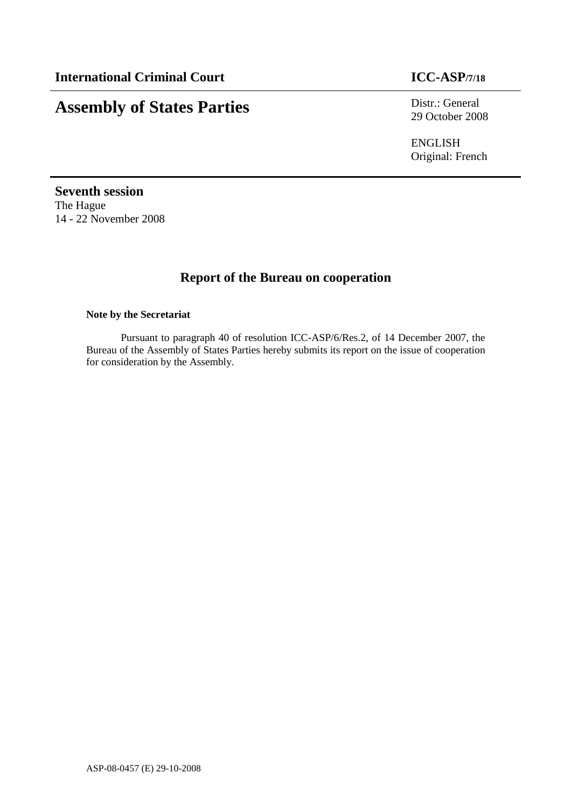# **Assembly of States Parties** Distr.: General

29 October 2008

ENGLISH Original: French

**Seventh session**  The Hague 14 - 22 November 2008

# **Report of the Bureau on cooperation**

#### **Note by the Secretariat**

Pursuant to paragraph 40 of resolution ICC-ASP/6/Res.2, of 14 December 2007, the Bureau of the Assembly of States Parties hereby submits its report on the issue of cooperation for consideration by the Assembly.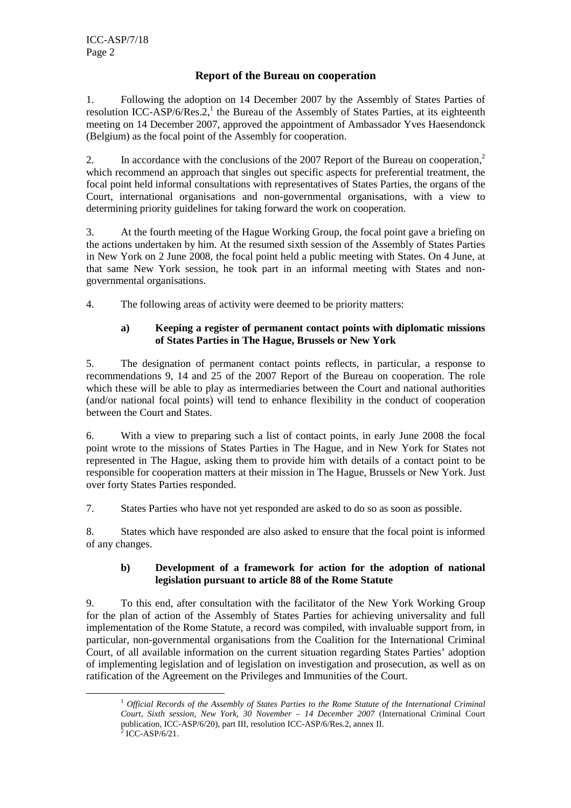# **Report of the Bureau on cooperation**

1. Following the adoption on 14 December 2007 by the Assembly of States Parties of resolution ICC-ASP/6/Res. $2<sup>1</sup>$ , the Bureau of the Assembly of States Parties, at its eighteenth meeting on 14 December 2007, approved the appointment of Ambassador Yves Haesendonck (Belgium) as the focal point of the Assembly for cooperation.

2. In accordance with the conclusions of the 2007 Report of the Bureau on cooperation,<sup>2</sup> which recommend an approach that singles out specific aspects for preferential treatment, the focal point held informal consultations with representatives of States Parties, the organs of the Court, international organisations and non-governmental organisations, with a view to determining priority guidelines for taking forward the work on cooperation.

3. At the fourth meeting of the Hague Working Group, the focal point gave a briefing on the actions undertaken by him. At the resumed sixth session of the Assembly of States Parties in New York on 2 June 2008, the focal point held a public meeting with States. On 4 June, at that same New York session, he took part in an informal meeting with States and nongovernmental organisations.

4. The following areas of activity were deemed to be priority matters:

### **a) Keeping a register of permanent contact points with diplomatic missions of States Parties in The Hague, Brussels or New York**

5. The designation of permanent contact points reflects, in particular, a response to recommendations 9, 14 and 25 of the 2007 Report of the Bureau on cooperation. The role which these will be able to play as intermediaries between the Court and national authorities (and/or national focal points) will tend to enhance flexibility in the conduct of cooperation between the Court and States.

6. With a view to preparing such a list of contact points, in early June 2008 the focal point wrote to the missions of States Parties in The Hague, and in New York for States not represented in The Hague, asking them to provide him with details of a contact point to be responsible for cooperation matters at their mission in The Hague, Brussels or New York. Just over forty States Parties responded.

7. States Parties who have not yet responded are asked to do so as soon as possible.

8. States which have responded are also asked to ensure that the focal point is informed of any changes.

## **b) Development of a framework for action for the adoption of national legislation pursuant to article 88 of the Rome Statute**

9. To this end, after consultation with the facilitator of the New York Working Group for the plan of action of the Assembly of States Parties for achieving universality and full implementation of the Rome Statute, a record was compiled, with invaluable support from, in particular, non-governmental organisations from the Coalition for the International Criminal Court, of all available information on the current situation regarding States Parties' adoption of implementing legislation and of legislation on investigation and prosecution, as well as on ratification of the Agreement on the Privileges and Immunities of the Court.

 $\overline{a}$ 

<sup>1</sup> *Official Records of the Assembly of States Parties to the Rome Statute of the International Criminal Court, Sixth session, New York, 30 November – 14 December 2007* (International Criminal Court publication, ICC-ASP/6/20), part III, resolution ICC-ASP/6/Res.2, annex II.

 $2$  ICC-ASP/6/21.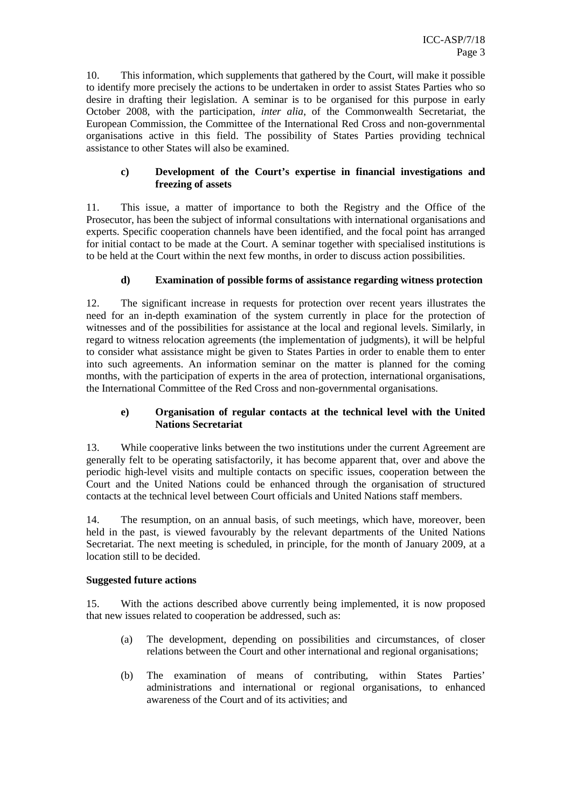10. This information, which supplements that gathered by the Court, will make it possible to identify more precisely the actions to be undertaken in order to assist States Parties who so desire in drafting their legislation. A seminar is to be organised for this purpose in early October 2008, with the participation, *inter alia*, of the Commonwealth Secretariat, the European Commission, the Committee of the International Red Cross and non-governmental organisations active in this field. The possibility of States Parties providing technical assistance to other States will also be examined.

#### **c) Development of the Court's expertise in financial investigations and freezing of assets**

11. This issue, a matter of importance to both the Registry and the Office of the Prosecutor, has been the subject of informal consultations with international organisations and experts. Specific cooperation channels have been identified, and the focal point has arranged for initial contact to be made at the Court. A seminar together with specialised institutions is to be held at the Court within the next few months, in order to discuss action possibilities.

#### **d) Examination of possible forms of assistance regarding witness protection**

12. The significant increase in requests for protection over recent years illustrates the need for an in-depth examination of the system currently in place for the protection of witnesses and of the possibilities for assistance at the local and regional levels. Similarly, in regard to witness relocation agreements (the implementation of judgments), it will be helpful to consider what assistance might be given to States Parties in order to enable them to enter into such agreements. An information seminar on the matter is planned for the coming months, with the participation of experts in the area of protection, international organisations, the International Committee of the Red Cross and non-governmental organisations.

#### **e) Organisation of regular contacts at the technical level with the United Nations Secretariat**

13. While cooperative links between the two institutions under the current Agreement are generally felt to be operating satisfactorily, it has become apparent that, over and above the periodic high-level visits and multiple contacts on specific issues, cooperation between the Court and the United Nations could be enhanced through the organisation of structured contacts at the technical level between Court officials and United Nations staff members.

14. The resumption, on an annual basis, of such meetings, which have, moreover, been held in the past, is viewed favourably by the relevant departments of the United Nations Secretariat. The next meeting is scheduled, in principle, for the month of January 2009, at a location still to be decided.

#### **Suggested future actions**

15. With the actions described above currently being implemented, it is now proposed that new issues related to cooperation be addressed, such as:

- (a) The development, depending on possibilities and circumstances, of closer relations between the Court and other international and regional organisations;
- (b) The examination of means of contributing, within States Parties' administrations and international or regional organisations, to enhanced awareness of the Court and of its activities; and